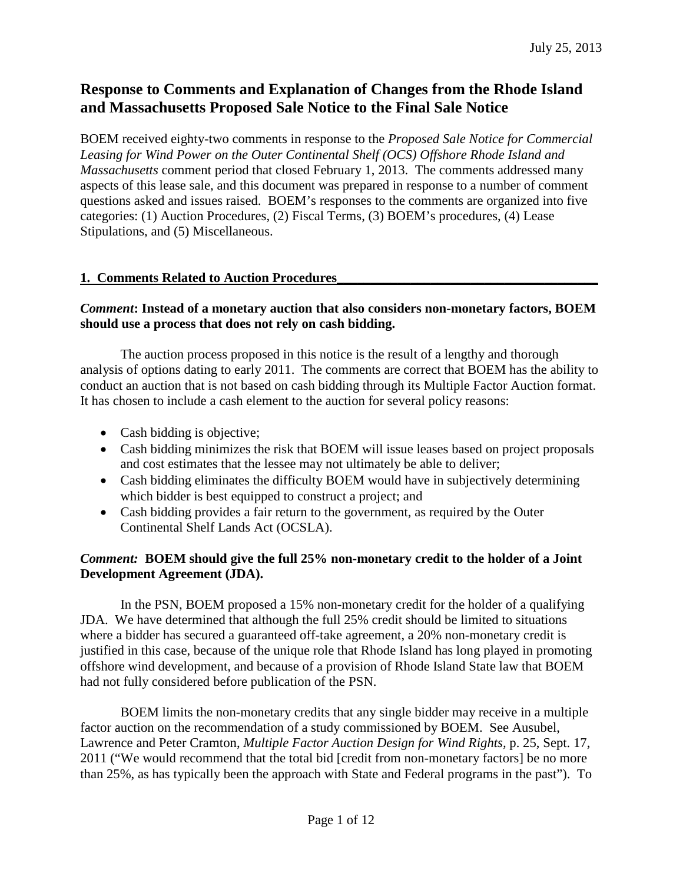# **Response to Comments and Explanation of Changes from the Rhode Island and Massachusetts Proposed Sale Notice to the Final Sale Notice**

BOEM received eighty-two comments in response to the *Proposed Sale Notice for Commercial Leasing for Wind Power on the Outer Continental Shelf (OCS) Offshore Rhode Island and Massachusetts* comment period that closed February 1, 2013. The comments addressed many aspects of this lease sale, and this document was prepared in response to a number of comment questions asked and issues raised. BOEM's responses to the comments are organized into five categories: (1) Auction Procedures, (2) Fiscal Terms, (3) BOEM's procedures, (4) Lease Stipulations, and (5) Miscellaneous.

## **1. Comments Related to Auction Procedures\_\_\_\_\_\_\_\_\_\_\_\_\_\_\_\_\_\_\_\_\_\_\_\_\_\_\_\_\_\_\_\_\_\_\_\_\_\_\_**

## *Comment***: Instead of a monetary auction that also considers non-monetary factors, BOEM should use a process that does not rely on cash bidding.**

The auction process proposed in this notice is the result of a lengthy and thorough analysis of options dating to early 2011. The comments are correct that BOEM has the ability to conduct an auction that is not based on cash bidding through its Multiple Factor Auction format. It has chosen to include a cash element to the auction for several policy reasons:

- Cash bidding is objective;
- Cash bidding minimizes the risk that BOEM will issue leases based on project proposals and cost estimates that the lessee may not ultimately be able to deliver;
- Cash bidding eliminates the difficulty BOEM would have in subjectively determining which bidder is best equipped to construct a project; and
- Cash bidding provides a fair return to the government, as required by the Outer Continental Shelf Lands Act (OCSLA).

## *Comment:* **BOEM should give the full 25% non-monetary credit to the holder of a Joint Development Agreement (JDA).**

In the PSN, BOEM proposed a 15% non-monetary credit for the holder of a qualifying JDA. We have determined that although the full 25% credit should be limited to situations where a bidder has secured a guaranteed off-take agreement, a 20% non-monetary credit is justified in this case, because of the unique role that Rhode Island has long played in promoting offshore wind development, and because of a provision of Rhode Island State law that BOEM had not fully considered before publication of the PSN.

BOEM limits the non-monetary credits that any single bidder may receive in a multiple factor auction on the recommendation of a study commissioned by BOEM. See Ausubel, Lawrence and Peter Cramton, *Multiple Factor Auction Design for Wind Rights*, p. 25, Sept. 17, 2011 ("We would recommend that the total bid [credit from non-monetary factors] be no more than 25%, as has typically been the approach with State and Federal programs in the past"). To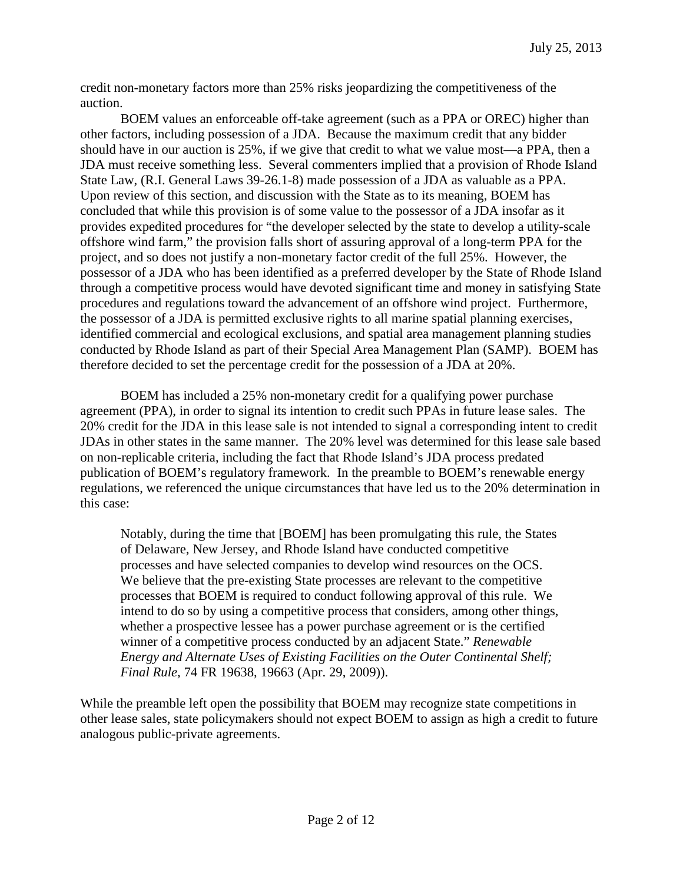credit non-monetary factors more than 25% risks jeopardizing the competitiveness of the auction.

BOEM values an enforceable off-take agreement (such as a PPA or OREC) higher than other factors, including possession of a JDA. Because the maximum credit that any bidder should have in our auction is 25%, if we give that credit to what we value most—a PPA, then a JDA must receive something less. Several commenters implied that a provision of Rhode Island State Law, (R.I. General Laws 39-26.1-8) made possession of a JDA as valuable as a PPA. Upon review of this section, and discussion with the State as to its meaning, BOEM has concluded that while this provision is of some value to the possessor of a JDA insofar as it provides expedited procedures for "the developer selected by the state to develop a utility-scale offshore wind farm," the provision falls short of assuring approval of a long-term PPA for the project, and so does not justify a non-monetary factor credit of the full 25%. However, the possessor of a JDA who has been identified as a preferred developer by the State of Rhode Island through a competitive process would have devoted significant time and money in satisfying State procedures and regulations toward the advancement of an offshore wind project. Furthermore, the possessor of a JDA is permitted exclusive rights to all marine spatial planning exercises, identified commercial and ecological exclusions, and spatial area management planning studies conducted by Rhode Island as part of their Special Area Management Plan (SAMP). BOEM has therefore decided to set the percentage credit for the possession of a JDA at 20%.

BOEM has included a 25% non-monetary credit for a qualifying power purchase agreement (PPA), in order to signal its intention to credit such PPAs in future lease sales. The 20% credit for the JDA in this lease sale is not intended to signal a corresponding intent to credit JDAs in other states in the same manner. The 20% level was determined for this lease sale based on non-replicable criteria, including the fact that Rhode Island's JDA process predated publication of BOEM's regulatory framework. In the preamble to BOEM's renewable energy regulations, we referenced the unique circumstances that have led us to the 20% determination in this case:

Notably, during the time that [BOEM] has been promulgating this rule, the States of Delaware, New Jersey, and Rhode Island have conducted competitive processes and have selected companies to develop wind resources on the OCS. We believe that the pre-existing State processes are relevant to the competitive processes that BOEM is required to conduct following approval of this rule. We intend to do so by using a competitive process that considers, among other things, whether a prospective lessee has a power purchase agreement or is the certified winner of a competitive process conducted by an adjacent State." *Renewable Energy and Alternate Uses of Existing Facilities on the Outer Continental Shelf; Final Rule*, 74 FR 19638, 19663 (Apr. 29, 2009)).

While the preamble left open the possibility that BOEM may recognize state competitions in other lease sales, state policymakers should not expect BOEM to assign as high a credit to future analogous public-private agreements.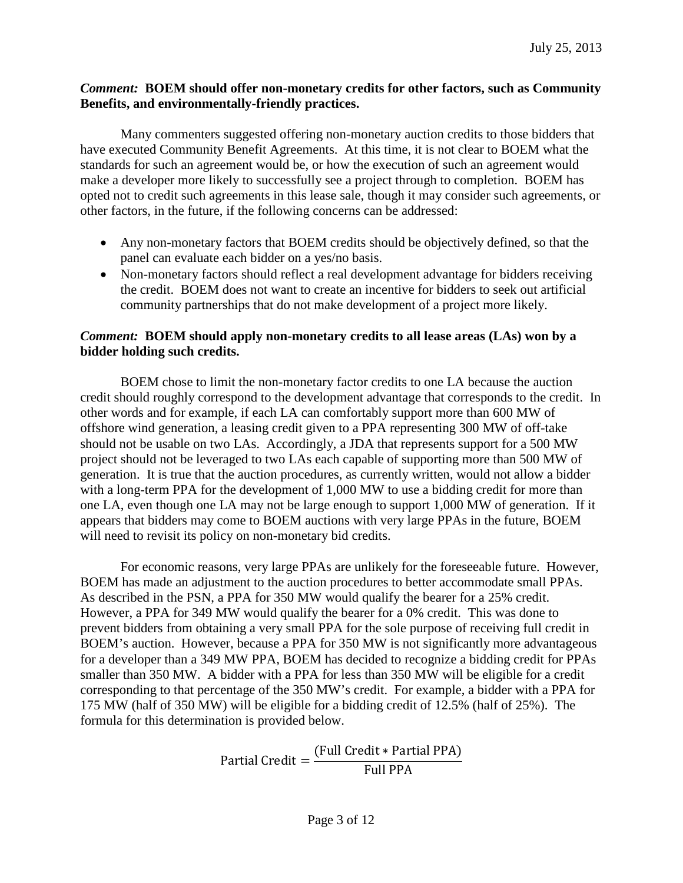#### *Comment:* **BOEM should offer non-monetary credits for other factors, such as Community Benefits, and environmentally-friendly practices.**

Many commenters suggested offering non-monetary auction credits to those bidders that have executed Community Benefit Agreements. At this time, it is not clear to BOEM what the standards for such an agreement would be, or how the execution of such an agreement would make a developer more likely to successfully see a project through to completion. BOEM has opted not to credit such agreements in this lease sale, though it may consider such agreements, or other factors, in the future, if the following concerns can be addressed:

- Any non-monetary factors that BOEM credits should be objectively defined, so that the panel can evaluate each bidder on a yes/no basis.
- Non-monetary factors should reflect a real development advantage for bidders receiving the credit. BOEM does not want to create an incentive for bidders to seek out artificial community partnerships that do not make development of a project more likely.

## *Comment:* **BOEM should apply non-monetary credits to all lease areas (LAs) won by a bidder holding such credits.**

BOEM chose to limit the non-monetary factor credits to one LA because the auction credit should roughly correspond to the development advantage that corresponds to the credit. In other words and for example, if each LA can comfortably support more than 600 MW of offshore wind generation, a leasing credit given to a PPA representing 300 MW of off-take should not be usable on two LAs. Accordingly, a JDA that represents support for a 500 MW project should not be leveraged to two LAs each capable of supporting more than 500 MW of generation. It is true that the auction procedures, as currently written, would not allow a bidder with a long-term PPA for the development of 1,000 MW to use a bidding credit for more than one LA, even though one LA may not be large enough to support 1,000 MW of generation. If it appears that bidders may come to BOEM auctions with very large PPAs in the future, BOEM will need to revisit its policy on non-monetary bid credits.

For economic reasons, very large PPAs are unlikely for the foreseeable future. However, BOEM has made an adjustment to the auction procedures to better accommodate small PPAs. As described in the PSN, a PPA for 350 MW would qualify the bearer for a 25% credit. However, a PPA for 349 MW would qualify the bearer for a 0% credit. This was done to prevent bidders from obtaining a very small PPA for the sole purpose of receiving full credit in BOEM's auction. However, because a PPA for 350 MW is not significantly more advantageous for a developer than a 349 MW PPA, BOEM has decided to recognize a bidding credit for PPAs smaller than 350 MW. A bidder with a PPA for less than 350 MW will be eligible for a credit corresponding to that percentage of the 350 MW's credit. For example, a bidder with a PPA for 175 MW (half of 350 MW) will be eligible for a bidding credit of 12.5% (half of 25%). The formula for this determination is provided below.

> Partial Credit =  $\frac{Full Credit * Partial PPA}{Full PPA}$ Full PPA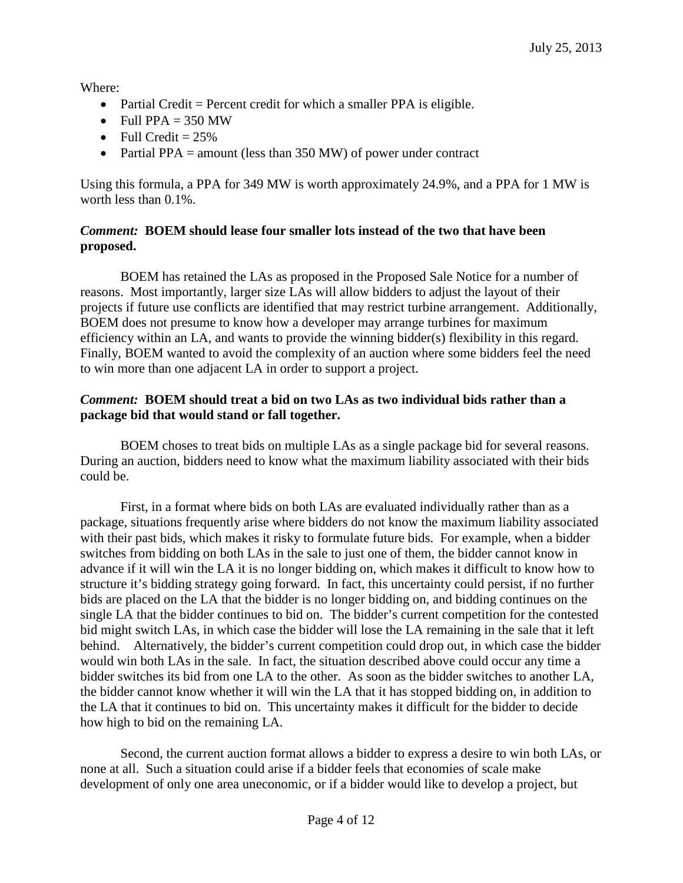Where:

- Partial Credit = Percent credit for which a smaller PPA is eligible.
- Full PPA  $= 350$  MW
- Full Credit  $= 25\%$
- Partial PPA = amount (less than 350 MW) of power under contract

Using this formula, a PPA for 349 MW is worth approximately 24.9%, and a PPA for 1 MW is worth less than 0.1%.

## *Comment:* **BOEM should lease four smaller lots instead of the two that have been proposed.**

BOEM has retained the LAs as proposed in the Proposed Sale Notice for a number of reasons. Most importantly, larger size LAs will allow bidders to adjust the layout of their projects if future use conflicts are identified that may restrict turbine arrangement. Additionally, BOEM does not presume to know how a developer may arrange turbines for maximum efficiency within an LA, and wants to provide the winning bidder(s) flexibility in this regard. Finally, BOEM wanted to avoid the complexity of an auction where some bidders feel the need to win more than one adjacent LA in order to support a project.

## *Comment:* **BOEM should treat a bid on two LAs as two individual bids rather than a package bid that would stand or fall together.**

BOEM choses to treat bids on multiple LAs as a single package bid for several reasons. During an auction, bidders need to know what the maximum liability associated with their bids could be.

First, in a format where bids on both LAs are evaluated individually rather than as a package, situations frequently arise where bidders do not know the maximum liability associated with their past bids, which makes it risky to formulate future bids. For example, when a bidder switches from bidding on both LAs in the sale to just one of them, the bidder cannot know in advance if it will win the LA it is no longer bidding on, which makes it difficult to know how to structure it's bidding strategy going forward. In fact, this uncertainty could persist, if no further bids are placed on the LA that the bidder is no longer bidding on, and bidding continues on the single LA that the bidder continues to bid on. The bidder's current competition for the contested bid might switch LAs, in which case the bidder will lose the LA remaining in the sale that it left behind. Alternatively, the bidder's current competition could drop out, in which case the bidder would win both LAs in the sale. In fact, the situation described above could occur any time a bidder switches its bid from one LA to the other. As soon as the bidder switches to another LA, the bidder cannot know whether it will win the LA that it has stopped bidding on, in addition to the LA that it continues to bid on. This uncertainty makes it difficult for the bidder to decide how high to bid on the remaining LA.

Second, the current auction format allows a bidder to express a desire to win both LAs, or none at all. Such a situation could arise if a bidder feels that economies of scale make development of only one area uneconomic, or if a bidder would like to develop a project, but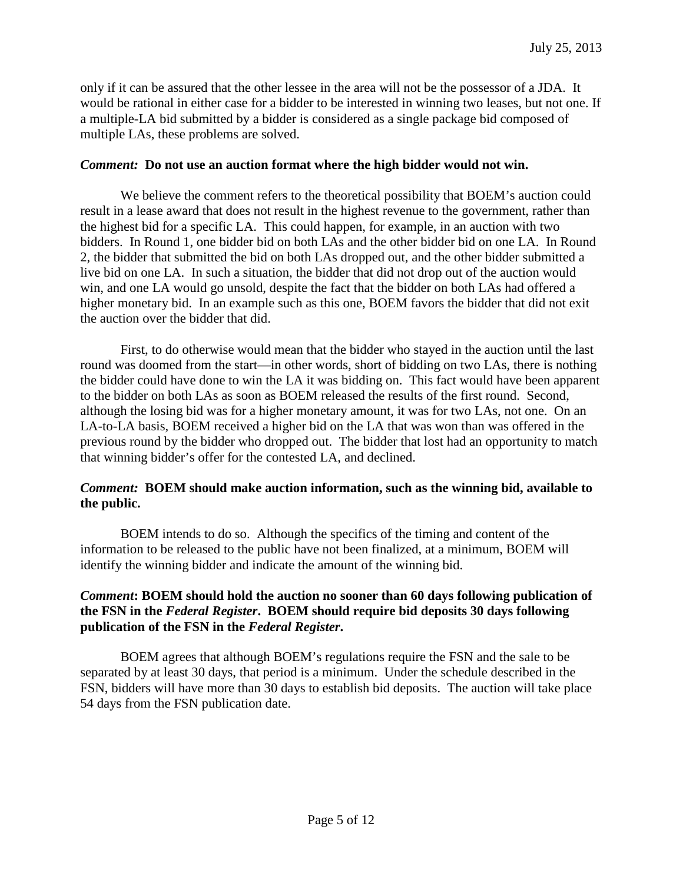only if it can be assured that the other lessee in the area will not be the possessor of a JDA. It would be rational in either case for a bidder to be interested in winning two leases, but not one. If a multiple-LA bid submitted by a bidder is considered as a single package bid composed of multiple LAs, these problems are solved.

#### *Comment:* **Do not use an auction format where the high bidder would not win.**

We believe the comment refers to the theoretical possibility that BOEM's auction could result in a lease award that does not result in the highest revenue to the government, rather than the highest bid for a specific LA. This could happen, for example, in an auction with two bidders. In Round 1, one bidder bid on both LAs and the other bidder bid on one LA. In Round 2, the bidder that submitted the bid on both LAs dropped out, and the other bidder submitted a live bid on one LA. In such a situation, the bidder that did not drop out of the auction would win, and one LA would go unsold, despite the fact that the bidder on both LAs had offered a higher monetary bid. In an example such as this one, BOEM favors the bidder that did not exit the auction over the bidder that did.

First, to do otherwise would mean that the bidder who stayed in the auction until the last round was doomed from the start—in other words, short of bidding on two LAs, there is nothing the bidder could have done to win the LA it was bidding on. This fact would have been apparent to the bidder on both LAs as soon as BOEM released the results of the first round. Second, although the losing bid was for a higher monetary amount, it was for two LAs, not one. On an LA-to-LA basis, BOEM received a higher bid on the LA that was won than was offered in the previous round by the bidder who dropped out. The bidder that lost had an opportunity to match that winning bidder's offer for the contested LA, and declined.

## *Comment:* **BOEM should make auction information, such as the winning bid, available to the public.**

BOEM intends to do so. Although the specifics of the timing and content of the information to be released to the public have not been finalized, at a minimum, BOEM will identify the winning bidder and indicate the amount of the winning bid.

### *Comment***: BOEM should hold the auction no sooner than 60 days following publication of the FSN in the** *Federal Register***. BOEM should require bid deposits 30 days following publication of the FSN in the** *Federal Register***.**

BOEM agrees that although BOEM's regulations require the FSN and the sale to be separated by at least 30 days, that period is a minimum. Under the schedule described in the FSN, bidders will have more than 30 days to establish bid deposits. The auction will take place 54 days from the FSN publication date.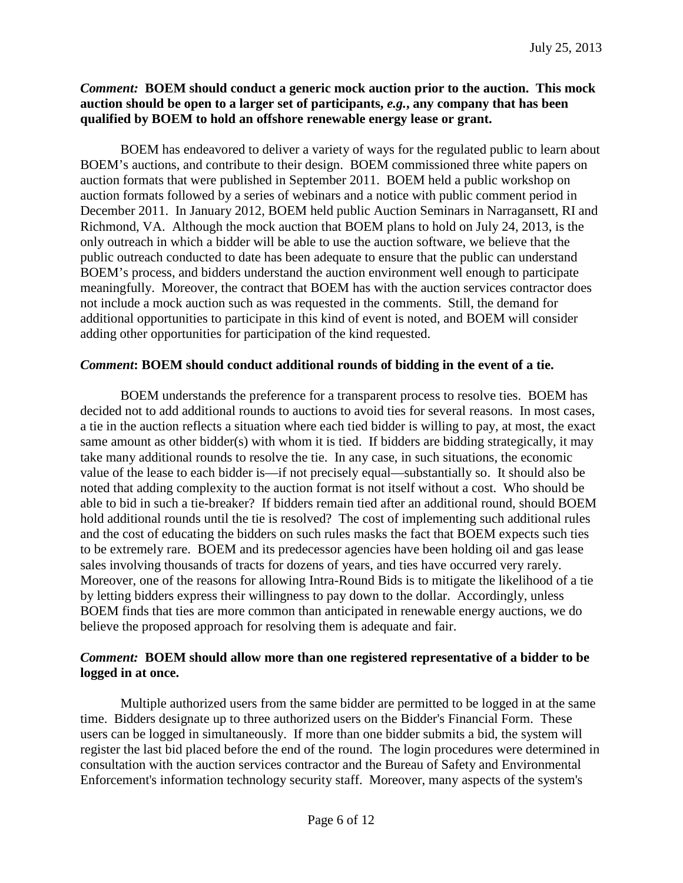## *Comment:* **BOEM should conduct a generic mock auction prior to the auction. This mock auction should be open to a larger set of participants,** *e.g.***, any company that has been qualified by BOEM to hold an offshore renewable energy lease or grant.**

BOEM has endeavored to deliver a variety of ways for the regulated public to learn about BOEM's auctions, and contribute to their design. BOEM commissioned three white papers on auction formats that were published in September 2011. BOEM held a public workshop on auction formats followed by a series of webinars and a notice with public comment period in December 2011. In January 2012, BOEM held public Auction Seminars in Narragansett, RI and Richmond, VA. Although the mock auction that BOEM plans to hold on July 24, 2013, is the only outreach in which a bidder will be able to use the auction software, we believe that the public outreach conducted to date has been adequate to ensure that the public can understand BOEM's process, and bidders understand the auction environment well enough to participate meaningfully. Moreover, the contract that BOEM has with the auction services contractor does not include a mock auction such as was requested in the comments. Still, the demand for additional opportunities to participate in this kind of event is noted, and BOEM will consider adding other opportunities for participation of the kind requested.

## *Comment***: BOEM should conduct additional rounds of bidding in the event of a tie.**

BOEM understands the preference for a transparent process to resolve ties. BOEM has decided not to add additional rounds to auctions to avoid ties for several reasons. In most cases, a tie in the auction reflects a situation where each tied bidder is willing to pay, at most, the exact same amount as other bidder(s) with whom it is tied. If bidders are bidding strategically, it may take many additional rounds to resolve the tie. In any case, in such situations, the economic value of the lease to each bidder is—if not precisely equal—substantially so. It should also be noted that adding complexity to the auction format is not itself without a cost. Who should be able to bid in such a tie-breaker? If bidders remain tied after an additional round, should BOEM hold additional rounds until the tie is resolved? The cost of implementing such additional rules and the cost of educating the bidders on such rules masks the fact that BOEM expects such ties to be extremely rare. BOEM and its predecessor agencies have been holding oil and gas lease sales involving thousands of tracts for dozens of years, and ties have occurred very rarely. Moreover, one of the reasons for allowing Intra-Round Bids is to mitigate the likelihood of a tie by letting bidders express their willingness to pay down to the dollar. Accordingly, unless BOEM finds that ties are more common than anticipated in renewable energy auctions, we do believe the proposed approach for resolving them is adequate and fair.

## *Comment:* **BOEM should allow more than one registered representative of a bidder to be logged in at once.**

Multiple authorized users from the same bidder are permitted to be logged in at the same time. Bidders designate up to three authorized users on the Bidder's Financial Form. These users can be logged in simultaneously. If more than one bidder submits a bid, the system will register the last bid placed before the end of the round. The login procedures were determined in consultation with the auction services contractor and the Bureau of Safety and Environmental Enforcement's information technology security staff. Moreover, many aspects of the system's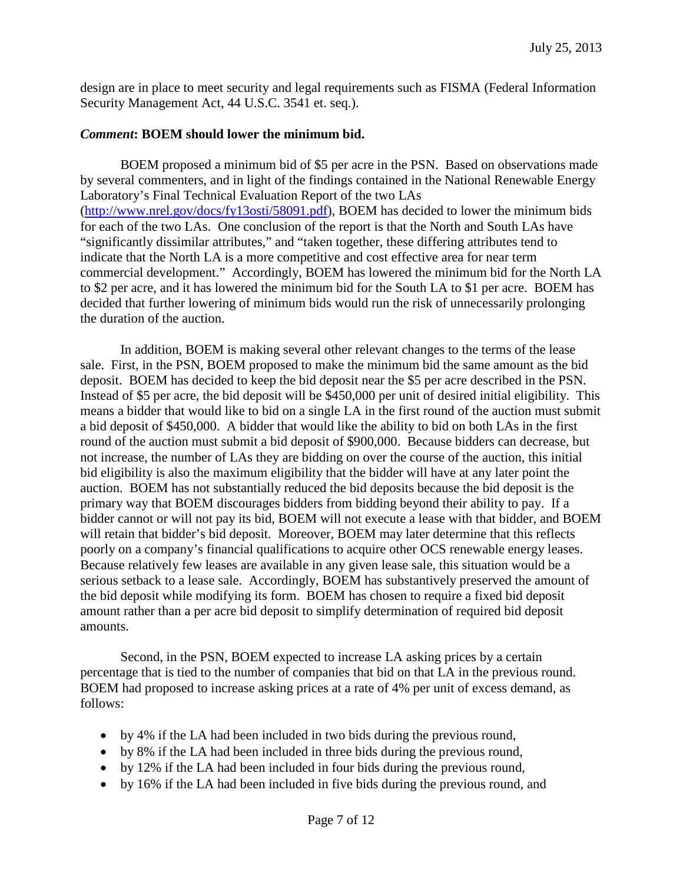design are in place to meet security and legal requirements such as FISMA (Federal Information Security Management Act, 44 U.S.C. 3541 et. seq.).

## *Comment***: BOEM should lower the minimum bid.**

BOEM proposed a minimum bid of \$5 per acre in the PSN. Based on observations made by several commenters, and in light of the findings contained in the National Renewable Energy Laboratory's Final Technical Evaluation Report of the two LAs [\(http://www.nrel.gov/docs/fy13osti/58091.pdf\)](http://www.nrel.gov/docs/fy13osti/58091.pdf), BOEM has decided to lower the minimum bids for each of the two LAs. One conclusion of the report is that the North and South LAs have "significantly dissimilar attributes," and "taken together, these differing attributes tend to indicate that the North LA is a more competitive and cost effective area for near term commercial development." Accordingly, BOEM has lowered the minimum bid for the North LA to \$2 per acre, and it has lowered the minimum bid for the South LA to \$1 per acre. BOEM has decided that further lowering of minimum bids would run the risk of unnecessarily prolonging the duration of the auction.

In addition, BOEM is making several other relevant changes to the terms of the lease sale. First, in the PSN, BOEM proposed to make the minimum bid the same amount as the bid deposit. BOEM has decided to keep the bid deposit near the \$5 per acre described in the PSN. Instead of \$5 per acre, the bid deposit will be \$450,000 per unit of desired initial eligibility. This means a bidder that would like to bid on a single LA in the first round of the auction must submit a bid deposit of \$450,000. A bidder that would like the ability to bid on both LAs in the first round of the auction must submit a bid deposit of \$900,000. Because bidders can decrease, but not increase, the number of LAs they are bidding on over the course of the auction, this initial bid eligibility is also the maximum eligibility that the bidder will have at any later point the auction. BOEM has not substantially reduced the bid deposits because the bid deposit is the primary way that BOEM discourages bidders from bidding beyond their ability to pay. If a bidder cannot or will not pay its bid, BOEM will not execute a lease with that bidder, and BOEM will retain that bidder's bid deposit. Moreover, BOEM may later determine that this reflects poorly on a company's financial qualifications to acquire other OCS renewable energy leases. Because relatively few leases are available in any given lease sale, this situation would be a serious setback to a lease sale. Accordingly, BOEM has substantively preserved the amount of the bid deposit while modifying its form. BOEM has chosen to require a fixed bid deposit amount rather than a per acre bid deposit to simplify determination of required bid deposit amounts.

Second, in the PSN, BOEM expected to increase LA asking prices by a certain percentage that is tied to the number of companies that bid on that LA in the previous round. BOEM had proposed to increase asking prices at a rate of 4% per unit of excess demand, as follows:

- by 4% if the LA had been included in two bids during the previous round,
- by 8% if the LA had been included in three bids during the previous round,
- by 12% if the LA had been included in four bids during the previous round,
- by 16% if the LA had been included in five bids during the previous round, and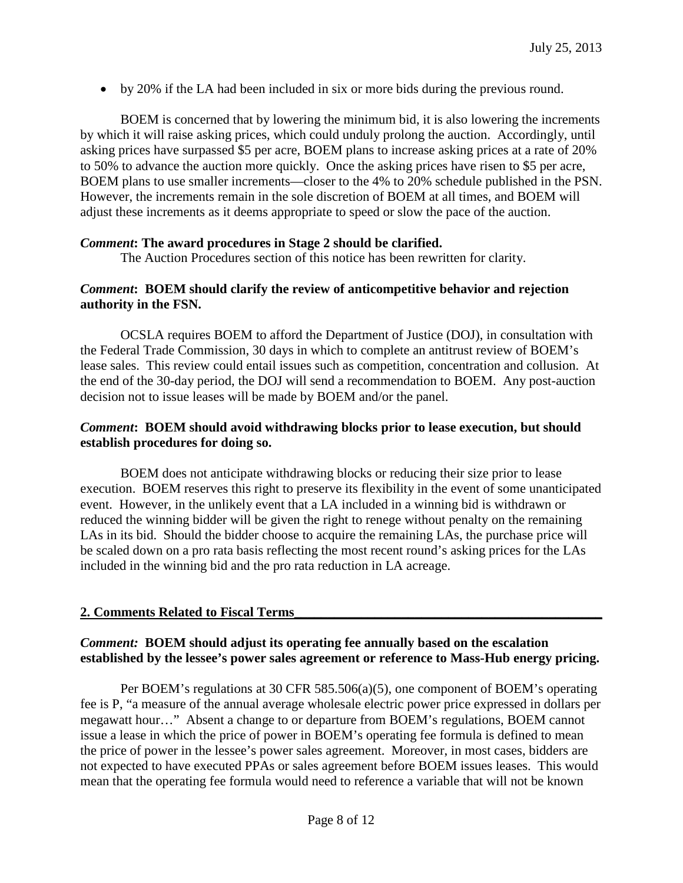• by 20% if the LA had been included in six or more bids during the previous round.

BOEM is concerned that by lowering the minimum bid, it is also lowering the increments by which it will raise asking prices, which could unduly prolong the auction. Accordingly, until asking prices have surpassed \$5 per acre, BOEM plans to increase asking prices at a rate of 20% to 50% to advance the auction more quickly. Once the asking prices have risen to \$5 per acre, BOEM plans to use smaller increments—closer to the 4% to 20% schedule published in the PSN. However, the increments remain in the sole discretion of BOEM at all times, and BOEM will adjust these increments as it deems appropriate to speed or slow the pace of the auction.

#### *Comment***: The award procedures in Stage 2 should be clarified.**

The Auction Procedures section of this notice has been rewritten for clarity.

#### *Comment***: BOEM should clarify the review of anticompetitive behavior and rejection authority in the FSN.**

OCSLA requires BOEM to afford the Department of Justice (DOJ), in consultation with the Federal Trade Commission, 30 days in which to complete an antitrust review of BOEM's lease sales. This review could entail issues such as competition, concentration and collusion. At the end of the 30-day period, the DOJ will send a recommendation to BOEM. Any post-auction decision not to issue leases will be made by BOEM and/or the panel.

#### *Comment***: BOEM should avoid withdrawing blocks prior to lease execution, but should establish procedures for doing so.**

BOEM does not anticipate withdrawing blocks or reducing their size prior to lease execution. BOEM reserves this right to preserve its flexibility in the event of some unanticipated event. However, in the unlikely event that a LA included in a winning bid is withdrawn or reduced the winning bidder will be given the right to renege without penalty on the remaining LAs in its bid. Should the bidder choose to acquire the remaining LAs, the purchase price will be scaled down on a pro rata basis reflecting the most recent round's asking prices for the LAs included in the winning bid and the pro rata reduction in LA acreage.

## **2. Comments Related to Fiscal Terms\_\_\_\_\_\_\_\_\_\_\_\_\_\_\_\_\_\_\_\_\_\_\_\_\_\_\_\_\_\_\_\_\_\_\_\_\_\_\_\_\_\_\_\_\_\_**

## *Comment:* **BOEM should adjust its operating fee annually based on the escalation established by the lessee's power sales agreement or reference to Mass-Hub energy pricing.**

Per BOEM's regulations at 30 CFR 585.506(a)(5), one component of BOEM's operating fee is P, "a measure of the annual average wholesale electric power price expressed in dollars per megawatt hour…" Absent a change to or departure from BOEM's regulations, BOEM cannot issue a lease in which the price of power in BOEM's operating fee formula is defined to mean the price of power in the lessee's power sales agreement. Moreover, in most cases, bidders are not expected to have executed PPAs or sales agreement before BOEM issues leases. This would mean that the operating fee formula would need to reference a variable that will not be known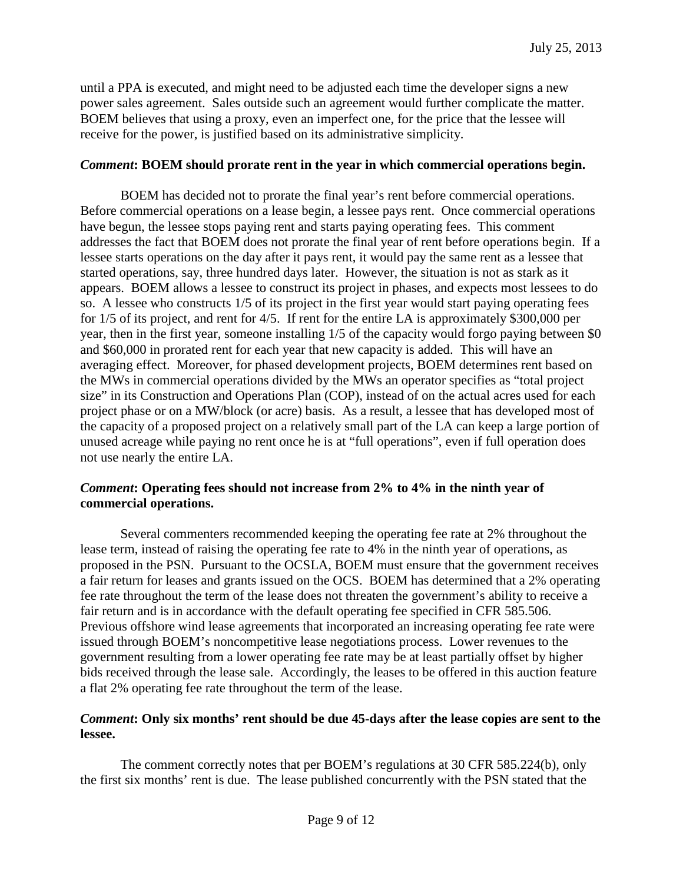until a PPA is executed, and might need to be adjusted each time the developer signs a new power sales agreement. Sales outside such an agreement would further complicate the matter. BOEM believes that using a proxy, even an imperfect one, for the price that the lessee will receive for the power, is justified based on its administrative simplicity.

### *Comment***: BOEM should prorate rent in the year in which commercial operations begin.**

BOEM has decided not to prorate the final year's rent before commercial operations. Before commercial operations on a lease begin, a lessee pays rent. Once commercial operations have begun, the lessee stops paying rent and starts paying operating fees. This comment addresses the fact that BOEM does not prorate the final year of rent before operations begin. If a lessee starts operations on the day after it pays rent, it would pay the same rent as a lessee that started operations, say, three hundred days later. However, the situation is not as stark as it appears. BOEM allows a lessee to construct its project in phases, and expects most lessees to do so. A lessee who constructs 1/5 of its project in the first year would start paying operating fees for 1/5 of its project, and rent for 4/5. If rent for the entire LA is approximately \$300,000 per year, then in the first year, someone installing 1/5 of the capacity would forgo paying between \$0 and \$60,000 in prorated rent for each year that new capacity is added. This will have an averaging effect. Moreover, for phased development projects, BOEM determines rent based on the MWs in commercial operations divided by the MWs an operator specifies as "total project size" in its Construction and Operations Plan (COP), instead of on the actual acres used for each project phase or on a MW/block (or acre) basis. As a result, a lessee that has developed most of the capacity of a proposed project on a relatively small part of the LA can keep a large portion of unused acreage while paying no rent once he is at "full operations", even if full operation does not use nearly the entire LA.

## *Comment***: Operating fees should not increase from 2% to 4% in the ninth year of commercial operations.**

Several commenters recommended keeping the operating fee rate at 2% throughout the lease term, instead of raising the operating fee rate to 4% in the ninth year of operations, as proposed in the PSN. Pursuant to the OCSLA, BOEM must ensure that the government receives a fair return for leases and grants issued on the OCS. BOEM has determined that a 2% operating fee rate throughout the term of the lease does not threaten the government's ability to receive a fair return and is in accordance with the default operating fee specified in CFR 585.506. Previous offshore wind lease agreements that incorporated an increasing operating fee rate were issued through BOEM's noncompetitive lease negotiations process. Lower revenues to the government resulting from a lower operating fee rate may be at least partially offset by higher bids received through the lease sale. Accordingly, the leases to be offered in this auction feature a flat 2% operating fee rate throughout the term of the lease.

## *Comment***: Only six months' rent should be due 45-days after the lease copies are sent to the lessee.**

The comment correctly notes that per BOEM's regulations at 30 CFR 585.224(b), only the first six months' rent is due. The lease published concurrently with the PSN stated that the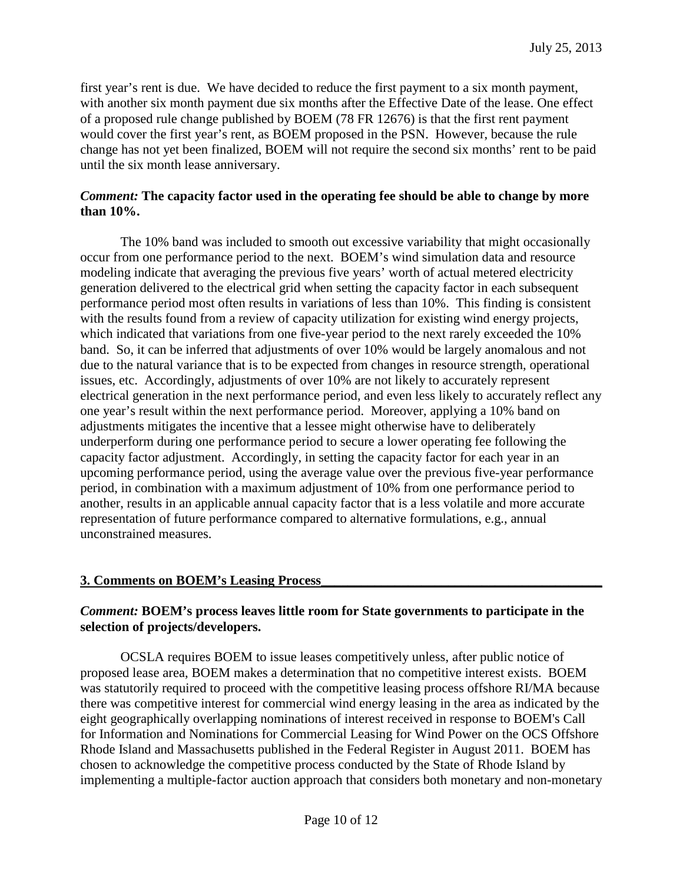first year's rent is due. We have decided to reduce the first payment to a six month payment, with another six month payment due six months after the Effective Date of the lease. One effect of a proposed rule change published by BOEM (78 FR 12676) is that the first rent payment would cover the first year's rent, as BOEM proposed in the PSN. However, because the rule change has not yet been finalized, BOEM will not require the second six months' rent to be paid until the six month lease anniversary.

### *Comment:* **The capacity factor used in the operating fee should be able to change by more than 10%.**

The 10% band was included to smooth out excessive variability that might occasionally occur from one performance period to the next. BOEM's wind simulation data and resource modeling indicate that averaging the previous five years' worth of actual metered electricity generation delivered to the electrical grid when setting the capacity factor in each subsequent performance period most often results in variations of less than 10%. This finding is consistent with the results found from a review of capacity utilization for existing wind energy projects, which indicated that variations from one five-year period to the next rarely exceeded the 10% band. So, it can be inferred that adjustments of over 10% would be largely anomalous and not due to the natural variance that is to be expected from changes in resource strength, operational issues, etc. Accordingly, adjustments of over 10% are not likely to accurately represent electrical generation in the next performance period, and even less likely to accurately reflect any one year's result within the next performance period. Moreover, applying a 10% band on adjustments mitigates the incentive that a lessee might otherwise have to deliberately underperform during one performance period to secure a lower operating fee following the capacity factor adjustment. Accordingly, in setting the capacity factor for each year in an upcoming performance period, using the average value over the previous five-year performance period, in combination with a maximum adjustment of 10% from one performance period to another, results in an applicable annual capacity factor that is a less volatile and more accurate representation of future performance compared to alternative formulations, e.g., annual unconstrained measures.

#### **3. Comments on BOEM's Leasing Process\_\_\_\_\_\_\_\_\_\_\_\_\_\_\_\_\_\_\_\_\_\_\_\_\_\_\_\_\_\_\_\_\_\_\_\_\_\_\_\_\_\_**

## *Comment:* **BOEM's process leaves little room for State governments to participate in the selection of projects/developers.**

OCSLA requires BOEM to issue leases competitively unless, after public notice of proposed lease area, BOEM makes a determination that no competitive interest exists. BOEM was statutorily required to proceed with the competitive leasing process offshore RI/MA because there was competitive interest for commercial wind energy leasing in the area as indicated by the eight geographically overlapping nominations of interest received in response to BOEM's Call for Information and Nominations for Commercial Leasing for Wind Power on the OCS Offshore Rhode Island and Massachusetts published in the Federal Register in August 2011. BOEM has chosen to acknowledge the competitive process conducted by the State of Rhode Island by implementing a multiple-factor auction approach that considers both monetary and non-monetary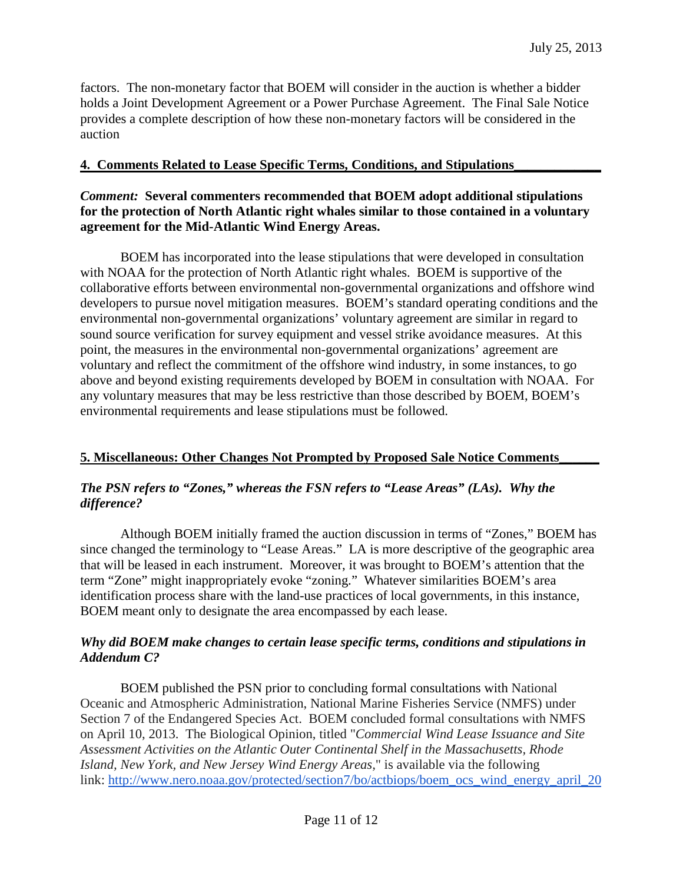factors. The non-monetary factor that BOEM will consider in the auction is whether a bidder holds a Joint Development Agreement or a Power Purchase Agreement. The Final Sale Notice provides a complete description of how these non-monetary factors will be considered in the auction

### **4. Comments Related to Lease Specific Terms, Conditions, and Stipulations\_\_\_\_\_\_\_\_\_\_\_\_\_**

### *Comment:* **Several commenters recommended that BOEM adopt additional stipulations for the protection of North Atlantic right whales similar to those contained in a voluntary agreement for the Mid-Atlantic Wind Energy Areas.**

BOEM has incorporated into the lease stipulations that were developed in consultation with NOAA for the protection of North Atlantic right whales. BOEM is supportive of the collaborative efforts between environmental non-governmental organizations and offshore wind developers to pursue novel mitigation measures. BOEM's standard operating conditions and the environmental non-governmental organizations' voluntary agreement are similar in regard to sound source verification for survey equipment and vessel strike avoidance measures. At this point, the measures in the environmental non-governmental organizations' agreement are voluntary and reflect the commitment of the offshore wind industry, in some instances, to go above and beyond existing requirements developed by BOEM in consultation with NOAA. For any voluntary measures that may be less restrictive than those described by BOEM, BOEM's environmental requirements and lease stipulations must be followed.

## **5. Miscellaneous: Other Changes Not Prompted by Proposed Sale Notice Comments\_\_\_\_\_\_**

## *The PSN refers to "Zones," whereas the FSN refers to "Lease Areas" (LAs). Why the difference?*

Although BOEM initially framed the auction discussion in terms of "Zones," BOEM has since changed the terminology to "Lease Areas." LA is more descriptive of the geographic area that will be leased in each instrument. Moreover, it was brought to BOEM's attention that the term "Zone" might inappropriately evoke "zoning." Whatever similarities BOEM's area identification process share with the land-use practices of local governments, in this instance, BOEM meant only to designate the area encompassed by each lease.

## *Why did BOEM make changes to certain lease specific terms, conditions and stipulations in Addendum C?*

BOEM published the PSN prior to concluding formal consultations with National Oceanic and Atmospheric Administration, National Marine Fisheries Service (NMFS) under Section 7 of the Endangered Species Act. BOEM concluded formal consultations with NMFS on April 10, 2013. The Biological Opinion, titled "*Commercial Wind Lease Issuance and Site Assessment Activities on the Atlantic Outer Continental Shelf in the Massachusetts, Rhode Island, New York, and New Jersey Wind Energy Areas,*" is available via the following link: [http://www.nero.noaa.gov/protected/section7/bo/actbiops/boem\\_ocs\\_wind\\_energy\\_april\\_20](http://www.nero.noaa.gov/protected/section7/bo/actbiops/boem_ocs_wind_energy_april_2013.pdf)